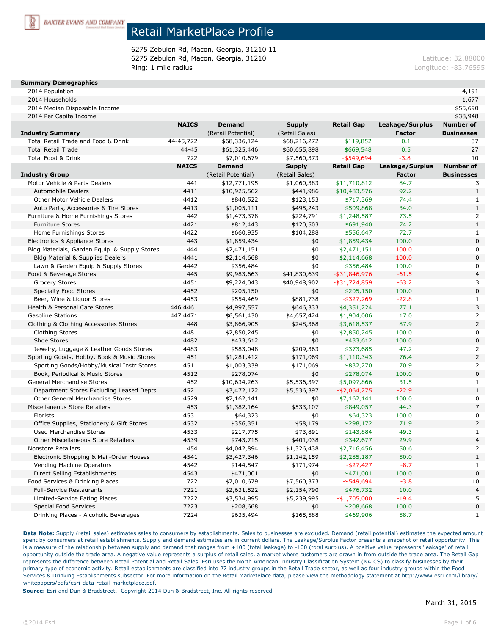

6275 Zebulon Rd, Macon, Georgia, 31210 11 6275 Zebulon Rd, Macon, Georgia, 31210 degree and the control of the control of the control of the control of the control of the control of the control of the control of the control of the control of the control of the con Ring: 1 mile radius **Ring: 1 mile radius** Longitude: -83.76595

#### **Summary Demographics**

| 2014 Population                               |              |                                     |                                 |                   |                                  | 4,191                                 |
|-----------------------------------------------|--------------|-------------------------------------|---------------------------------|-------------------|----------------------------------|---------------------------------------|
| 2014 Households                               |              |                                     |                                 |                   |                                  | 1,677                                 |
| 2014 Median Disposable Income                 |              |                                     |                                 |                   |                                  | \$55,690                              |
| 2014 Per Capita Income                        |              |                                     |                                 |                   |                                  | \$38,948                              |
| <b>Industry Summary</b>                       | <b>NAICS</b> | <b>Demand</b><br>(Retail Potential) | <b>Supply</b><br>(Retail Sales) | <b>Retail Gap</b> | Leakage/Surplus<br><b>Factor</b> | <b>Number of</b><br><b>Businesses</b> |
| Total Retail Trade and Food & Drink           | 44-45,722    | \$68,336,124                        | \$68,216,272                    | \$119,852         | 0.1                              | 37                                    |
| <b>Total Retail Trade</b>                     | 44-45        | \$61,325,446                        | \$60,655,898                    | \$669,548         | 0.5                              | 27                                    |
| Total Food & Drink                            | 722          | \$7,010,679                         | \$7,560,373                     | $-$ \$549,694     | $-3.8$                           | 10                                    |
|                                               | <b>NAICS</b> | <b>Demand</b>                       | <b>Supply</b>                   | <b>Retail Gap</b> | Leakage/Surplus                  | <b>Number of</b>                      |
| <b>Industry Group</b>                         |              | (Retail Potential)                  | (Retail Sales)                  |                   | <b>Factor</b>                    | <b>Businesses</b>                     |
| Motor Vehicle & Parts Dealers                 | 441          | \$12,771,195                        | \$1,060,383                     | \$11,710,812      | 84.7                             | 3                                     |
| <b>Automobile Dealers</b>                     | 4411         | \$10,925,562                        | \$441,986                       | \$10,483,576      | 92.2                             | $\mathbf{1}$                          |
| <b>Other Motor Vehicle Dealers</b>            | 4412         | \$840,522                           | \$123,153                       | \$717,369         | 74.4                             | $\mathbf{1}$                          |
| Auto Parts, Accessories & Tire Stores         | 4413         | \$1,005,111                         | \$495,243                       | \$509,868         | 34.0                             | $\mathbf{1}$                          |
| Furniture & Home Furnishings Stores           | 442          | \$1,473,378                         | \$224,791                       | \$1,248,587       | 73.5                             | $\overline{a}$                        |
| <b>Furniture Stores</b>                       | 4421         | \$812,443                           | \$120,503                       | \$691,940         | 74.2                             | $\mathbf{1}$                          |
| Home Furnishings Stores                       | 4422         | \$660,935                           | \$104,288                       | \$556,647         | 72.7                             | 1                                     |
| Electronics & Appliance Stores                | 443          | \$1,859,434                         | \$0                             | \$1,859,434       | 100.0                            | $\mathbf 0$                           |
| Bldg Materials, Garden Equip. & Supply Stores | 444          | \$2,471,151                         | \$0                             | \$2,471,151       | 100.0                            | 0                                     |
| <b>Bldg Material &amp; Supplies Dealers</b>   | 4441         | \$2,114,668                         | \$0                             | \$2,114,668       | 100.0                            | 0                                     |
| Lawn & Garden Equip & Supply Stores           | 4442         | \$356,484                           | \$0                             | \$356,484         | 100.0                            | 0                                     |
| Food & Beverage Stores                        | 445          | \$9,983,663                         | \$41,830,639                    | -\$31,846,976     | $-61.5$                          | $\overline{\mathcal{L}}$              |
| <b>Grocery Stores</b>                         | 4451         | \$9,224,043                         | \$40,948,902                    | $-$ \$31,724,859  | $-63.2$                          | 3                                     |
| <b>Specialty Food Stores</b>                  | 4452         | \$205,150                           | \$0                             | \$205,150         | 100.0                            | 0                                     |
| Beer, Wine & Liquor Stores                    | 4453         | \$554,469                           | \$881,738                       | $-$ \$327,269     | $-22.8$                          |                                       |
| Health & Personal Care Stores                 | 446,4461     | \$4,997,557                         | \$646,333                       | \$4,351,224       | 77.1                             | 3                                     |
| <b>Gasoline Stations</b>                      | 447,4471     | \$6,561,430                         | \$4,657,424                     | \$1,904,006       | 17.0                             | 2                                     |
| Clothing & Clothing Accessories Stores        | 448          | \$3,866,905                         | \$248,368                       | \$3,618,537       | 87.9                             | $\overline{a}$                        |
| <b>Clothing Stores</b>                        | 4481         | \$2,850,245                         | \$0                             | \$2,850,245       | 100.0                            | 0                                     |
| Shoe Stores                                   | 4482         | \$433,612                           | \$0                             | \$433,612         | 100.0                            | 0                                     |
| Jewelry, Luggage & Leather Goods Stores       | 4483         | \$583,048                           | \$209,363                       | \$373,685         | 47.2                             |                                       |
| Sporting Goods, Hobby, Book & Music Stores    | 451          | \$1,281,412                         | \$171,069                       | \$1,110,343       | 76.4                             | $\overline{a}$                        |
| Sporting Goods/Hobby/Musical Instr Stores     | 4511         | \$1,003,339                         | \$171,069                       | \$832,270         | 70.9                             | 2                                     |
| Book, Periodical & Music Stores               | 4512         | \$278,074                           | \$0                             | \$278,074         | 100.0                            | $\mathbf 0$                           |
| General Merchandise Stores                    | 452          | \$10,634,263                        | \$5,536,397                     | \$5,097,866       | 31.5                             | $\mathbf{1}$                          |
| Department Stores Excluding Leased Depts.     | 4521         | \$3,472,122                         | \$5,536,397                     | $-$2,064,275$     | $-22.9$                          | $\mathbf{1}$                          |
| <b>Other General Merchandise Stores</b>       | 4529         | \$7,162,141                         | \$0                             | \$7,162,141       | 100.0                            | 0                                     |
| Miscellaneous Store Retailers                 | 453          | \$1,382,164                         | \$533,107                       | \$849,057         | 44.3                             | $\overline{7}$                        |
| Florists                                      | 4531         | \$64,323                            | \$0                             | \$64,323          | 100.0                            | 0                                     |
| Office Supplies, Stationery & Gift Stores     | 4532         | \$356,351                           | \$58,179                        | \$298,172         | 71.9                             | $\overline{2}$                        |
| <b>Used Merchandise Stores</b>                | 4533         | \$217,775                           | \$73,891                        | \$143,884         | 49.3                             | 1                                     |
| <b>Other Miscellaneous Store Retailers</b>    | 4539         | \$743,715                           | \$401,038                       | \$342,677         | 29.9                             | 4                                     |
| Nonstore Retailers                            | 454          | \$4,042,894                         | \$1,326,438                     | \$2,716,456       | 50.6                             | $\overline{a}$                        |
| Electronic Shopping & Mail-Order Houses       | 4541         | \$3,427,346                         | \$1,142,159                     | \$2,285,187       | 50.0                             | $\mathbf{1}$                          |
| Vending Machine Operators                     | 4542         | \$144,547                           | \$171,974                       | $-$ \$27,427      | $-8.7$                           | 1                                     |
| Direct Selling Establishments                 | 4543         | \$471,001                           | \$0                             | \$471,001         | 100.0                            | 0                                     |
| Food Services & Drinking Places               | 722          | \$7,010,679                         | \$7,560,373                     | $-$ \$549,694     | $-3.8$                           | 10                                    |
| <b>Full-Service Restaurants</b>               | 7221         | \$2,631,522                         | \$2,154,790                     | \$476,732         | 10.0                             | $\overline{\mathcal{L}}$              |
| Limited-Service Eating Places                 | 7222         | \$3,534,995                         | \$5,239,995                     | $-$1,705,000$     | $-19.4$                          | 5                                     |
| Special Food Services                         | 7223         | \$208,668                           | \$0                             | \$208,668         | 100.0                            | 0                                     |
| Drinking Places - Alcoholic Beverages         | 7224         | \$635,494                           | \$165,588                       | \$469,906         | 58.7                             | 1                                     |
|                                               |              |                                     |                                 |                   |                                  |                                       |

Data Note: Supply (retail sales) estimates sales to consumers by establishments. Sales to businesses are excluded. Demand (retail potential) estimates the expected amount spent by consumers at retail establishments. Supply and demand estimates are in current dollars. The Leakage/Surplus Factor presents a snapshot of retail opportunity. This is a measure of the relationship between supply and demand that ranges from +100 (total leakage) to -100 (total surplus). A positive value represents 'leakage' of retail opportunity outside the trade area. A negative value represents a surplus of retail sales, a market where customers are drawn in from outside the trade area. The Retail Gap represents the difference between Retail Potential and Retail Sales. Esri uses the North American Industry Classification System (NAICS) to classify businesses by their primary type of economic activity. Retail establishments are classified into 27 industry groups in the Retail Trade sector, as well as four industry groups within the Food Services & Drinking Establishments subsector. For more information on the Retail MarketPlace data, please view the methodology statement at http://www.esri.com/library/ whitepapers/pdfs/esri-data-retail-marketplace.pdf.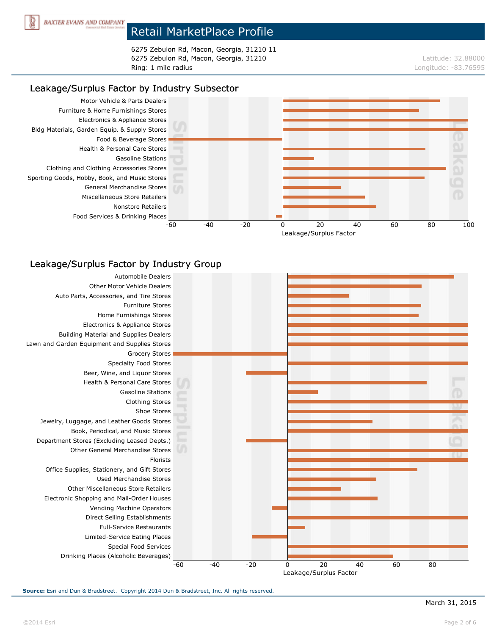

6275 Zebulon Rd, Macon, Georgia, 31210 11 6275 Zebulon Rd, Macon, Georgia, 31210 degree and the contract term of the contract term of the contract of the contract term of the contract of the contract of the contract of the contract of the contract of the contract Ring: 1 mile radius **Ring: 1 mile radius** Longitude: -83.76595

## Leakage/Surplus Factor by Industry Subsector



### Leakage/Surplus Factor by Industry Group

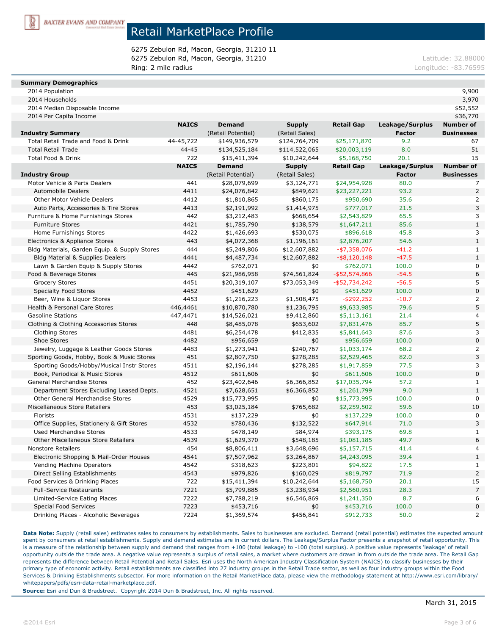

6275 Zebulon Rd, Macon, Georgia, 31210 11 6275 Zebulon Rd, Macon, Georgia, 31210 degree and the contract term of the contract term of the contract of the contract of the contract of the contract of the contract of the contract of the contract of the contract of th Ring: 2 mile radius **Ring: 2 mile radius** Longitude: -83.76595

#### **Summary Demographics**

| 2014 Median Disposable Income                 |              |                    |                |                   |                 | \$52,552          |
|-----------------------------------------------|--------------|--------------------|----------------|-------------------|-----------------|-------------------|
| 2014 Per Capita Income                        |              |                    |                |                   |                 | \$36,770          |
|                                               | <b>NAICS</b> | <b>Demand</b>      | <b>Supply</b>  | <b>Retail Gap</b> | Leakage/Surplus | <b>Number of</b>  |
| <b>Industry Summary</b>                       |              | (Retail Potential) | (Retail Sales) |                   | <b>Factor</b>   | <b>Businesses</b> |
| Total Retail Trade and Food & Drink           | 44-45,722    | \$149,936,579      | \$124,764,709  | \$25,171,870      | 9.2             | 67                |
| <b>Total Retail Trade</b>                     | $44 - 45$    | \$134,525,184      | \$114,522,065  | \$20,003,119      | 8.0             | 51                |
| Total Food & Drink                            | 722          | \$15,411,394       | \$10,242,644   | \$5,168,750       | 20.1            | 15                |
|                                               | <b>NAICS</b> | <b>Demand</b>      | <b>Supply</b>  | <b>Retail Gap</b> | Leakage/Surplus | <b>Number of</b>  |
| <b>Industry Group</b>                         |              | (Retail Potential) | (Retail Sales) |                   | <b>Factor</b>   | <b>Businesses</b> |
| Motor Vehicle & Parts Dealers                 | 441          | \$28,079,699       | \$3,124,771    | \$24,954,928      | 80.0            |                   |
| Automobile Dealers                            | 4411         | \$24,076,842       | \$849,621      | \$23,227,221      | 93.2            | $\overline{a}$    |
| <b>Other Motor Vehicle Dealers</b>            | 4412         | \$1,810,865        | \$860,175      | \$950,690         | 35.6            | 2                 |
| Auto Parts, Accessories & Tire Stores         | 4413         | \$2,191,992        | \$1,414,975    | \$777,017         | 21.5            | 3                 |
| Furniture & Home Furnishings Stores           | 442          | \$3,212,483        | \$668,654      | \$2,543,829       | 65.5            | 3                 |
| <b>Furniture Stores</b>                       | 4421         | \$1,785,790        | \$138,579      | \$1,647,211       | 85.6            | 1                 |
| Home Furnishings Stores                       | 4422         | \$1,426,693        | \$530,075      | \$896,618         | 45.8            | 3                 |
| Electronics & Appliance Stores                | 443          | \$4,072,368        | \$1,196,161    | \$2,876,207       | 54.6            | $\mathbf{1}$      |
| Bldg Materials, Garden Equip. & Supply Stores | 444          | \$5,249,806        | \$12,607,882   | $-$7,358,076$     | $-41.2$         | 1                 |
| <b>Bldg Material &amp; Supplies Dealers</b>   | 4441         | \$4,487,734        | \$12,607,882   | $-$ \$8,120,148   | $-47.5$         | $\mathbf{1}$      |
| Lawn & Garden Equip & Supply Stores           | 4442         | \$762,071          | \$0            | \$762,071         | 100.0           | 0                 |
| Food & Beverage Stores                        | 445          | \$21,986,958       | \$74,561,824   | $-$ \$52,574,866  | $-54.5$         | 6                 |
| Grocery Stores                                | 4451         | \$20,319,107       | \$73,053,349   | $-$ \$52,734,242  | $-56.5$         |                   |
| <b>Specialty Food Stores</b>                  | 4452         | \$451,629          | \$0            | \$451,629         | 100.0           | 0                 |
| Beer, Wine & Liquor Stores                    | 4453         | \$1,216,223        | \$1,508,475    | $-$ \$292,252     | $-10.7$         | $\overline{a}$    |
| Health & Personal Care Stores                 | 446,4461     | \$10,870,780       | \$1,236,795    | \$9,633,985       | 79.6            | 5                 |
| <b>Gasoline Stations</b>                      | 447,4471     | \$14,526,021       | \$9,412,860    | \$5,113,161       | 21.4            | 4                 |
| Clothing & Clothing Accessories Stores        | 448          | \$8,485,078        | \$653,602      | \$7,831,476       | 85.7            | 5                 |
| Clothing Stores                               | 4481         | \$6,254,478        | \$412,835      | \$5,841,643       | 87.6            | 3                 |
| Shoe Stores                                   | 4482         | \$956,659          | \$0            | \$956,659         | 100.0           | 0                 |
| Jewelry, Luggage & Leather Goods Stores       | 4483         | \$1,273,941        | \$240,767      | \$1,033,174       | 68.2            |                   |
| Sporting Goods, Hobby, Book & Music Stores    | 451          | \$2,807,750        | \$278,285      | \$2,529,465       | 82.0            | 3                 |
| Sporting Goods/Hobby/Musical Instr Stores     | 4511         | \$2,196,144        | \$278,285      | \$1,917,859       | 77.5            | 3                 |
| Book, Periodical & Music Stores               | 4512         | \$611,606          | \$0            | \$611,606         | 100.0           | 0                 |
| <b>General Merchandise Stores</b>             | 452          | \$23,402,646       | \$6,366,852    | \$17,035,794      | 57.2            | 1                 |
| Department Stores Excluding Leased Depts.     | 4521         | \$7,628,651        | \$6,366,852    | \$1,261,799       | 9.0             | 1                 |
| Other General Merchandise Stores              | 4529         | \$15,773,995       | \$0            | \$15,773,995      | 100.0           | 0                 |

2014 Population 9,900 2014 Households 3,970

Data Note: Supply (retail sales) estimates sales to consumers by establishments. Sales to businesses are excluded. Demand (retail potential) estimates the expected amount spent by consumers at retail establishments. Supply and demand estimates are in current dollars. The Leakage/Surplus Factor presents a snapshot of retail opportunity. This is a measure of the relationship between supply and demand that ranges from +100 (total leakage) to -100 (total surplus). A positive value represents 'leakage' of retail opportunity outside the trade area. A negative value represents a surplus of retail sales, a market where customers are drawn in from outside the trade area. The Retail Gap represents the difference between Retail Potential and Retail Sales. Esri uses the North American Industry Classification System (NAICS) to classify businesses by their primary type of economic activity. Retail establishments are classified into 27 industry groups in the Retail Trade sector, as well as four industry groups within the Food Services & Drinking Establishments subsector. For more information on the Retail MarketPlace data, please view the methodology statement at http://www.esri.com/library/ whitepapers/pdfs/esri-data-retail-marketplace.pdf.

Miscellaneous Store Retailers 10 10 10 453 453,025,184 \$765,682 \$2,259,502 59.6 10 Florists 4531 \$137,229 \$0 \$137,229 100.0 0 Office Supplies, Stationery & Gift Stores 4532 \$780,436 \$132,522 \$647,914 71.0 3 Used Merchandise Stores 1 1 1 4533 478,149 \$84,974 \$393,175 69.8 1 Other Miscellaneous Store Retailers **4539** \$1,629,370 \$548,185 \$1,081,185 49.7 6 Nonstore Retailers 454 \$8,806,411 \$3,648,696 \$5,157,715 41.4 4 Electronic Shopping & Mail-Order Houses 4541 \$7,507,962 \$3,264,867 \$4,243,095 39.4 1 Vending Machine Operators 4542 \$318,623 \$223,801 \$94,822 17.5 1 Direct Selling Establishments 4543 \$979,826 \$160,029 \$819,797 71.9 2 Food Services & Drinking Places 722 \$15,411,394 \$10,242,644 \$5,168,750 20.1 15 Full-Service Restaurants 7221 \$5,799,885 \$3,238,934 \$2,560,951 28.3 7 Limited-Service Eating Places 1988 1992 57,788,219 \$6,546,869 \$1,241,350 8.7 6 Special Food Services 2008 2009 100.0 5453,716 50 \$453,716 \$0 \$453,716 100.0 0 \$453,716 0 \$453,716 0 \$453,716 100.0 Drinking Places - Alcoholic Beverages 7224 \$1,369,574 \$456,841 \$912,733 50.0 2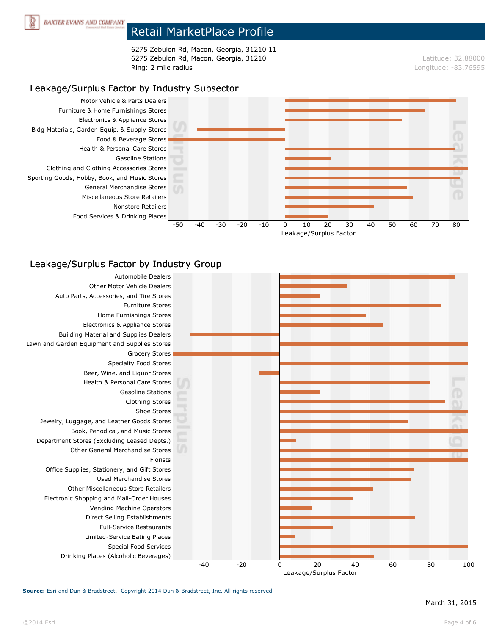

6275 Zebulon Rd, Macon, Georgia, 31210 11 6275 Zebulon Rd, Macon, Georgia, 31210 degree and the contract term of the contract term of the contract of the contract term of the contract of the contract of the contract of the contract of the contract of the contract Ring: 2 mile radius Longitude: -83.76595

## Leakage/Surplus Factor by Industry Subsector



### Leakage/Surplus Factor by Industry Group

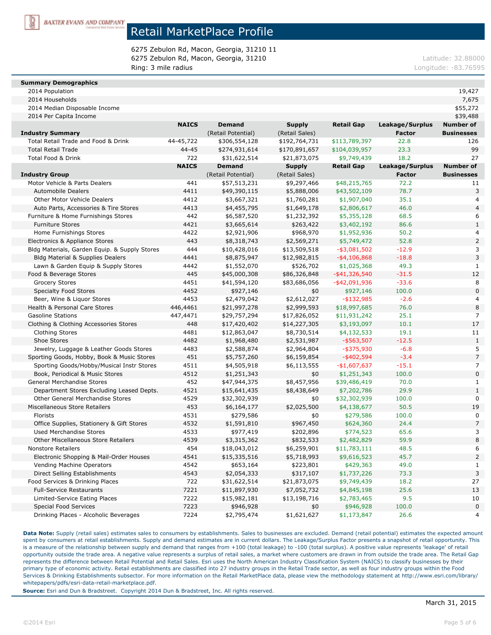

6275 Zebulon Rd, Macon, Georgia, 31210 11 6275 Zebulon Rd, Macon, Georgia, 31210 degree and the control of the control of the control of the control of the control of the control of the control of the control of the control of the control of the control of the con Ring: 3 mile radius **Ring: 3 mile radius** Longitude: -83.76595

#### **Summary Demographics**

| 2014 Households                     |              |                    |                |                   |                 | 7,675             |
|-------------------------------------|--------------|--------------------|----------------|-------------------|-----------------|-------------------|
| 2014 Median Disposable Income       |              |                    |                |                   |                 | \$55,272          |
| 2014 Per Capita Income              |              |                    |                |                   |                 | \$39,488          |
|                                     | <b>NAICS</b> | <b>Demand</b>      | <b>Supply</b>  | <b>Retail Gap</b> | Leakage/Surplus | Number of         |
| dustry Summary                      |              | (Retail Potential) | (Retail Sales) |                   | <b>Factor</b>   | <b>Businesses</b> |
| Total Retail Trade and Food & Drink | 44-45.722    | \$306,554,128      | \$192,764,731  | \$113,789,397     | 22.8            | 126               |
|                                     |              |                    |                |                   |                 |                   |

| <b>Industry Summary</b>                       |              | (Retail Potential) | (Retail Sales) |                   | Factor          | <b>Businesses</b> |
|-----------------------------------------------|--------------|--------------------|----------------|-------------------|-----------------|-------------------|
| Total Retail Trade and Food & Drink           | 44-45,722    | \$306,554,128      | \$192,764,731  | \$113,789,397     | 22.8            | 126               |
| <b>Total Retail Trade</b>                     | $44 - 45$    | \$274,931,614      | \$170,891,657  | \$104,039,957     | 23.3            | 99                |
| <b>Total Food &amp; Drink</b>                 | 722          | \$31,622,514       | \$21,873,075   | \$9,749,439       | 18.2            | 27                |
|                                               | <b>NAICS</b> | <b>Demand</b>      | <b>Supply</b>  | <b>Retail Gap</b> | Leakage/Surplus | <b>Number of</b>  |
| <b>Industry Group</b>                         |              | (Retail Potential) | (Retail Sales) |                   | <b>Factor</b>   | <b>Businesses</b> |
| Motor Vehicle & Parts Dealers                 | 441          | \$57,513,231       | \$9,297,466    | \$48,215,765      | 72.2            | 11                |
| <b>Automobile Dealers</b>                     | 4411         | \$49,390,115       | \$5,888,006    | \$43,502,109      | 78.7            | 3                 |
| Other Motor Vehicle Dealers                   | 4412         | \$3,667,321        | \$1,760,281    | \$1,907,040       | 35.1            | 4                 |
| Auto Parts, Accessories & Tire Stores         | 4413         | \$4,455,795        | \$1,649,178    | \$2,806,617       | 46.0            | $\overline{4}$    |
| Furniture & Home Furnishings Stores           | 442          | \$6,587,520        | \$1,232,392    | \$5,355,128       | 68.5            | 6                 |
| <b>Furniture Stores</b>                       | 4421         | \$3,665,614        | \$263,422      | \$3,402,192       | 86.6            | $\mathbf{1}$      |
| Home Furnishings Stores                       | 4422         | \$2,921,906        | \$968,970      | \$1,952,936       | 50.2            | 4                 |
| Electronics & Appliance Stores                | 443          | \$8,318,743        | \$2,569,271    | \$5,749,472       | 52.8            | $\overline{a}$    |
| Bldg Materials, Garden Equip. & Supply Stores | 444          | \$10,428,016       | \$13,509,518   | $-$ \$3,081,502   | $-12.9$         | 3                 |
| <b>Bldg Material &amp; Supplies Dealers</b>   | 4441         | \$8,875,947        | \$12,982,815   | $-$ \$4,106,868   | $-18.8$         | 3                 |
| Lawn & Garden Equip & Supply Stores           | 4442         | \$1,552,070        | \$526,702      | \$1,025,368       | 49.3            | $\mathbf{1}$      |
| Food & Beverage Stores                        | 445          | \$45,000,308       | \$86,326,848   | $-$ \$41,326,540  | $-31.5$         | 12                |
| <b>Grocery Stores</b>                         | 4451         | \$41,594,120       | \$83,686,056   | $-$ \$42,091,936  | $-33.6$         | 8                 |
| <b>Specialty Food Stores</b>                  | 4452         | \$927,146          | \$0            | \$927,146         | 100.0           | $\overline{0}$    |
| Beer, Wine & Liquor Stores                    | 4453         | \$2,479,042        | \$2,612,027    | $-$ \$132,985     | $-2.6$          | 4                 |
| Health & Personal Care Stores                 | 446,4461     | \$21,997,278       | \$2,999,593    | \$18,997,685      | 76.0            | 8                 |
| <b>Gasoline Stations</b>                      | 447,4471     | \$29,757,294       | \$17,826,052   | \$11,931,242      | 25.1            | $\overline{7}$    |
| Clothing & Clothing Accessories Stores        | 448          | \$17,420,402       | \$14,227,305   | \$3,193,097       | 10.1            | 17                |
| <b>Clothing Stores</b>                        | 4481         | \$12,863,047       | \$8,730,514    | \$4,132,533       | 19.1            | 11                |
| Shoe Stores                                   | 4482         | \$1,968,480        | \$2,531,987    | $-$ \$563,507     | $-12.5$         | $\mathbf{1}$      |
| Jewelry, Luggage & Leather Goods Stores       | 4483         | \$2,588,874        | \$2,964,804    | $-$ \$375,930     | $-6.8$          | 5                 |
| Sporting Goods, Hobby, Book & Music Stores    | 451          | \$5,757,260        | \$6,159,854    | $-$ \$402,594     | $-3.4$          | $\overline{7}$    |
| Sporting Goods/Hobby/Musical Instr Stores     | 4511         | \$4,505,918        | \$6,113,555    | $-$1,607,637$     | $-15.1$         | 7                 |
| Book, Periodical & Music Stores               | 4512         | \$1,251,343        | \$0            | \$1,251,343       | 100.0           | $\mathbf 0$       |
| General Merchandise Stores                    | 452          | \$47,944,375       | \$8,457,956    | \$39,486,419      | 70.0            | $\mathbf{1}$      |
| Department Stores Excluding Leased Depts.     | 4521         | \$15,641,435       | \$8,438,649    | \$7,202,786       | 29.9            | $\mathbf{1}$      |
| <b>Other General Merchandise Stores</b>       | 4529         | \$32,302,939       | \$0            | \$32,302,939      | 100.0           | 0                 |
| Miscellaneous Store Retailers                 | 453          | \$6,164,177        | \$2,025,500    | \$4,138,677       | 50.5            | 19                |
| Florists                                      | 4531         | \$279,586          | \$0            | \$279,586         | 100.0           | 0                 |
| Office Supplies, Stationery & Gift Stores     | 4532         | \$1,591,810        | \$967,450      | \$624,360         | 24.4            | $\overline{7}$    |
| <b>Used Merchandise Stores</b>                | 4533         | \$977,419          | \$202,896      | \$774,523         | 65.6            | 3                 |
| Other Miscellaneous Store Retailers           | 4539         | \$3,315,362        | \$832,533      | \$2,482,829       | 59.9            | 8                 |
| <b>Nonstore Retailers</b>                     | 454          | \$18,043,012       | \$6,259,901    | \$11,783,111      | 48.5            | 6                 |
| Electronic Shopping & Mail-Order Houses       | 4541         | \$15,335,516       | \$5,718,993    | \$9,616,523       | 45.7            | $\overline{2}$    |
| Vending Machine Operators                     | 4542         | \$653,164          | \$223,801      | \$429,363         | 49.0            | $\mathbf{1}$      |
| Direct Selling Establishments                 | 4543         | \$2,054,333        | \$317,107      | \$1,737,226       | 73.3            | 3                 |
| Food Services & Drinking Places               | 722          | \$31,622,514       | \$21,873,075   | \$9,749,439       | 18.2            | 27                |
| <b>Full-Service Restaurants</b>               | 7221         | \$11,897,930       | \$7,052,732    | \$4,845,198       | 25.6            | 13                |
| Limited-Service Eating Places                 | 7222         | \$15,982,181       | \$13,198,716   | \$2,783,465       | 9.5             | 10                |
| <b>Special Food Services</b>                  | 7223         | \$946,928          | \$0            | \$946,928         | 100.0           | $\overline{0}$    |
| Drinking Places - Alcoholic Beverages         | 7224         | \$2,795,474        | \$1,621,627    | \$1,173,847       | 26.6            | 4                 |

2014 Population 19,427

Data Note: Supply (retail sales) estimates sales to consumers by establishments. Sales to businesses are excluded. Demand (retail potential) estimates the expected amount spent by consumers at retail establishments. Supply and demand estimates are in current dollars. The Leakage/Surplus Factor presents a snapshot of retail opportunity. This is a measure of the relationship between supply and demand that ranges from +100 (total leakage) to -100 (total surplus). A positive value represents 'leakage' of retail opportunity outside the trade area. A negative value represents a surplus of retail sales, a market where customers are drawn in from outside the trade area. The Retail Gap represents the difference between Retail Potential and Retail Sales. Esri uses the North American Industry Classification System (NAICS) to classify businesses by their primary type of economic activity. Retail establishments are classified into 27 industry groups in the Retail Trade sector, as well as four industry groups within the Food Services & Drinking Establishments subsector. For more information on the Retail MarketPlace data, please view the methodology statement at http://www.esri.com/library/ whitepapers/pdfs/esri-data-retail-marketplace.pdf.